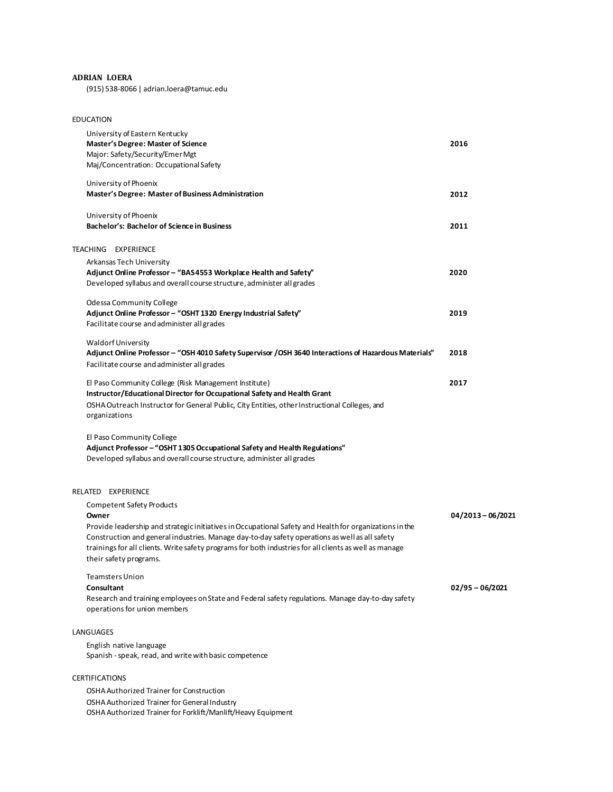## **ADRIAN LOERA**

(915) 538-8066 | adrian.loera@tamuc.edu

| <b>EDUCATION</b>                                                                                                                                                                                                                                                                                                                                                                           |                   |
|--------------------------------------------------------------------------------------------------------------------------------------------------------------------------------------------------------------------------------------------------------------------------------------------------------------------------------------------------------------------------------------------|-------------------|
| University of Eastern Kentucky<br><b>Master's Degree: Master of Science</b><br>Major: Safety/Security/Emer Mgt<br>Maj/Concentration: Occupational Safety                                                                                                                                                                                                                                   | 2016              |
| University of Phoenix<br>Master's Degree: Master of Business Administration                                                                                                                                                                                                                                                                                                                | 2012              |
| University of Phoenix<br>Bachelor's: Bachelor of Science in Business                                                                                                                                                                                                                                                                                                                       | 2011              |
| TEACHING EXPERIENCE                                                                                                                                                                                                                                                                                                                                                                        |                   |
| Arkansas Tech University<br>Adjunct Online Professor - "BAS4553 Workplace Health and Safety"<br>Developed syllabus and overall course structure, administer all grades                                                                                                                                                                                                                     | 2020              |
| <b>Odessa Community College</b><br>Adjunct Online Professor - "OSHT 1320 Energy Industrial Safety"<br>Facilitate course and administer all grades                                                                                                                                                                                                                                          | 2019              |
| <b>Waldorf University</b><br>Adjunct Online Professor - "OSH 4010 Safety Supervisor / OSH 3640 Interactions of Hazardous Materials"<br>Facilitate course and administer all grades                                                                                                                                                                                                         | 2018              |
| El Paso Community College (Risk Management Institute)<br>Instructor/Educational Director for Occupational Safety and Health Grant<br>OSHA Outreach Instructor for General Public, City Entities, other Instructional Colleges, and<br>organizations                                                                                                                                        | 2017              |
| El Paso Community College<br>Adjunct Professor - "OSHT 1305 Occupational Safety and Health Regulations"<br>Developed syllabus and overall course structure, administer all grades                                                                                                                                                                                                          |                   |
| RELATED EXPERIENCE                                                                                                                                                                                                                                                                                                                                                                         |                   |
| <b>Competent Safety Products</b><br>Owner<br>Provide leadership and strategic initiatives in Occupational Safety and Health for organizations in the<br>Construction and general industries. Manage day-to-day safety operations as well as all safety<br>trainings for all clients. Write safety programs for both industries for all clients as well as manage<br>their safety programs. | 04/2013-06/2021   |
| <b>Teamsters Union</b><br>Consultant<br>Research and training employees on State and Federal safety regulations. Manage day-to-day safety                                                                                                                                                                                                                                                  | $02/95 - 06/2021$ |
| operations for union members                                                                                                                                                                                                                                                                                                                                                               |                   |
| LANGUAGES                                                                                                                                                                                                                                                                                                                                                                                  |                   |
| English native language<br>Spanish - speak, read, and write with basic competence                                                                                                                                                                                                                                                                                                          |                   |
| <b>CERTIFICATIONS</b>                                                                                                                                                                                                                                                                                                                                                                      |                   |
| OSHA Authorized Trainer for Construction                                                                                                                                                                                                                                                                                                                                                   |                   |
| OSHA Authorized Trainer for General Industry<br>OSHA Authorized Trainer for Forklift/Manlift/Heavy Equipment                                                                                                                                                                                                                                                                               |                   |